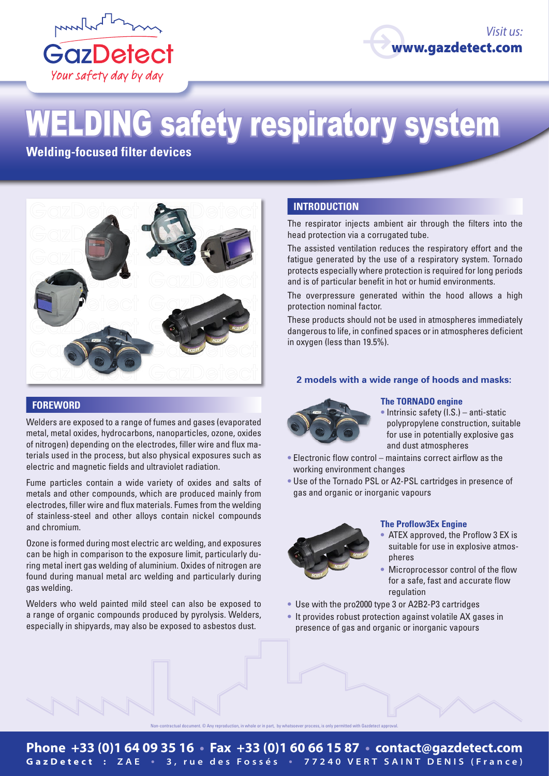



# **ELDING safety respiratory system**

**Welding-focused filter devices**



# **FOREWORD**

Welders are exposed to a range of fumes and gases (evaporated metal, metal oxides, hydrocarbons, nanoparticles, ozone, oxides of nitrogen) depending on the electrodes, filler wire and flux materials used in the process, but also physical exposures such as electric and magnetic fields and ultraviolet radiation.

Fume particles contain a wide variety of oxides and salts of metals and other compounds, which are produced mainly from electrodes, filler wire and flux materials. Fumes from the welding of stainless-steel and other alloys contain nickel compounds and chromium.

Ozone is formed during most electric arc welding, and exposures can be high in comparison to the exposure limit, particularly during metal inert gas welding of aluminium. Oxides of nitrogen are found during manual metal arc welding and particularly during gas welding.

Welders who weld painted mild steel can also be exposed to a range of organic compounds produced by pyrolysis. Welders, especially in shipyards, may also be exposed to asbestos dust.

# **INTRODUCTION**

The respirator injects ambient air through the filters into the head protection via a corrugated tube.

The assisted ventilation reduces the respiratory effort and the fatigue generated by the use of a respiratory system. Tornado protects especially where protection is required for long periods and is of particular benefit in hot or humid environments.

The overpressure generated within the hood allows a high protection nominal factor.

These products should not be used in atmospheres immediately dangerous to life, in confined spaces or in atmospheres deficient in oxygen (less than 19.5%).

### **2 models with a wide range of hoods and masks:**



#### **The TORNADO engine**

- **•** Intrinsic safety (I.S.) anti-static polypropylene construction, suitable for use in potentially explosive gas and dust atmospheres
- **•** Electronic flow control maintains correct airflow as the working environment changes
- **•** Use of the Tornado PSL or A2-PSL cartridges in presence of gas and organic or inorganic vapours



## **The Proflow3Ex Engine**

- **•** ATEX approved, the Proflow 3 EX is suitable for use in explosive atmospheres
- **•** Microprocessor control of the flow for a safe, fast and accurate flow regulation
- **•** Use with the pro2000 type 3 or A2B2-P3 cartridges
- **•** It provides robust protection against volatile AX gases in presence of gas and organic or inorganic vapours

Non-contractual document. © Any reproduction, in whole or in part, by whatsoever process, is only permitted with Gazdetect approval.

# **Phone +33 (0)1 64 09 35 16 • Fax +33 (0)1 60 66 15 87 • contact@gazdetect.com GazDetect : ZAE • 3, rue des Fossés • 77240 VERT SAINT DENIS (France)**